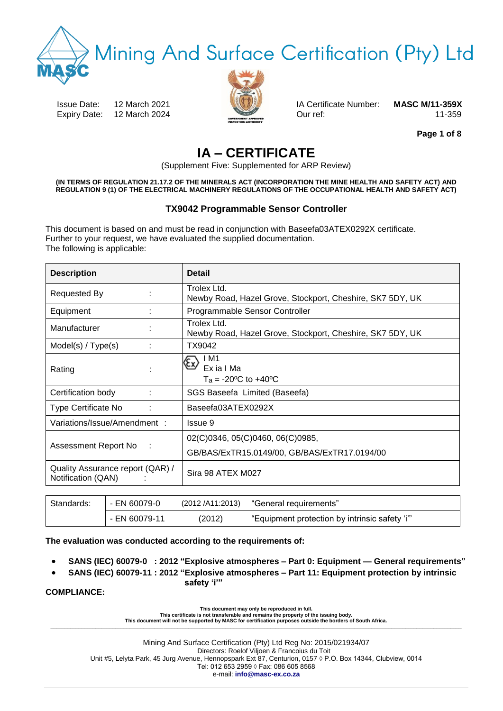Mining And Surface Certification (Pty) Ltd

Issue Date: 12 March 2021 IA Certificate Number: **MASC M/11-359X** Expiry Date: 12 March 2024 Our ref: 0.11-359



**Page 1 of 8**

# **IA – CERTIFICATE**

(Supplement Five: Supplemented for ARP Review)

**(IN TERMS OF REGULATION 21.17.2 OF THE MINERALS ACT (INCORPORATION THE MINE HEALTH AND SAFETY ACT) AND REGULATION 9 (1) OF THE ELECTRICAL MACHINERY REGULATIONS OF THE OCCUPATIONAL HEALTH AND SAFETY ACT)**

### **TX9042 Programmable Sensor Controller**

This document is based on and must be read in conjunction with Baseefa03ATEX0292X certificate. Further to your request, we have evaluated the supplied documentation. The following is applicable:

| <b>Description</b>                                     |  | <b>Detail</b>                                                            |
|--------------------------------------------------------|--|--------------------------------------------------------------------------|
| Requested By                                           |  | Trolex Ltd.<br>Newby Road, Hazel Grove, Stockport, Cheshire, SK7 5DY, UK |
| Equipment                                              |  | Programmable Sensor Controller                                           |
| Manufacturer                                           |  | Trolex Ltd.<br>Newby Road, Hazel Grove, Stockport, Cheshire, SK7 5DY, UK |
| Model(s) / Type(s)                                     |  | TX9042                                                                   |
| Rating                                                 |  | IM1<br>Ex ia I Ma<br>$Ta = -20°C$ to $+40°C$                             |
| Certification body                                     |  | SGS Baseefa Limited (Baseefa)                                            |
| Type Certificate No                                    |  | Baseefa03ATEX0292X                                                       |
| Variations/Issue/Amendment :                           |  | Issue 9                                                                  |
| Assessment Report No<br>÷                              |  | 02(C)0346, 05(C)0460, 06(C)0985,                                         |
|                                                        |  | GB/BAS/ExTR15.0149/00, GB/BAS/ExTR17.0194/00                             |
| Quality Assurance report (QAR) /<br>Notification (QAN) |  | Sira 98 ATEX M027                                                        |

| Standards: | - EN 60079-0  | (2012 /A11:2013) | , "General requirements"                       |  |
|------------|---------------|------------------|------------------------------------------------|--|
|            | - EN 60079-11 | (2012)           | "Equipment protection by intrinsic safety 'i'" |  |

**The evaluation was conducted according to the requirements of:** 

- **SANS (IEC) 60079-0 : 2012 "Explosive atmospheres – Part 0: Equipment — General requirements"**
- **SANS (IEC) 60079-11 : 2012 "Explosive atmospheres – Part 11: Equipment protection by intrinsic safety 'i'"**

**COMPLIANCE:**

**This document may only be reproduced in full.** 

**This certificate is not transferable and remains the property of the issuing body. This document will not be supported by MASC for certification purposes outside the borders of South Africa. \_\_\_\_\_\_\_\_\_\_\_\_\_\_\_\_\_\_\_\_\_\_\_\_\_\_\_\_\_\_\_\_\_\_\_\_\_\_\_\_\_\_\_\_\_\_\_\_\_\_\_\_\_\_\_\_\_\_\_\_\_\_\_\_\_\_\_\_\_\_\_\_\_\_\_\_\_\_\_\_\_\_\_\_\_\_\_\_\_\_\_\_\_\_\_\_\_\_\_\_\_\_\_\_\_\_\_\_\_\_\_\_\_\_\_\_\_\_\_\_\_\_\_\_\_\_\_\_\_\_\_\_\_\_\_\_\_\_\_\_\_\_\_\_\_\_**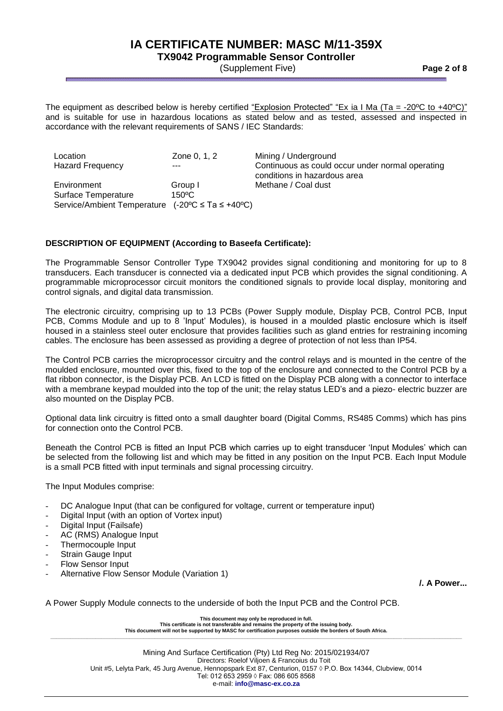# **TX9042 Programmable Sensor Controller**

(Supplement Five) **Page 2 of 8**

The equipment as described below is hereby certified "Explosion Protected" "Ex ia I Ma (Ta = -20°C to +40°C)" and is suitable for use in hazardous locations as stated below and as tested, assessed and inspected in accordance with the relevant requirements of SANS / IEC Standards:

Location **Zone 0, 1, 2** Mining / Underground Hazard Frequency  $\frac{1}{2}$  --- Continuous as could occur under normal operating conditions in hazardous area Environment Group I Methane / Coal dust Surface Temperature 150°C Service/Ambient Temperature (-20ºC ≤ Ta ≤ +40ºC)

### **DESCRIPTION OF EQUIPMENT (According to Baseefa Certificate):**

The Programmable Sensor Controller Type TX9042 provides signal conditioning and monitoring for up to 8 transducers. Each transducer is connected via a dedicated input PCB which provides the signal conditioning. A programmable microprocessor circuit monitors the conditioned signals to provide local display, monitoring and control signals, and digital data transmission.

The electronic circuitry, comprising up to 13 PCBs (Power Supply module, Display PCB, Control PCB, Input PCB, Comms Module and up to 8 'Input' Modules), is housed in a moulded plastic enclosure which is itself housed in a stainless steel outer enclosure that provides facilities such as gland entries for restraining incoming cables. The enclosure has been assessed as providing a degree of protection of not less than IP54.

The Control PCB carries the microprocessor circuitry and the control relays and is mounted in the centre of the moulded enclosure, mounted over this, fixed to the top of the enclosure and connected to the Control PCB by a flat ribbon connector, is the Display PCB. An LCD is fitted on the Display PCB along with a connector to interface with a membrane keypad moulded into the top of the unit; the relay status LED's and a piezo- electric buzzer are also mounted on the Display PCB.

Optional data link circuitry is fitted onto a small daughter board (Digital Comms, RS485 Comms) which has pins for connection onto the Control PCB.

Beneath the Control PCB is fitted an Input PCB which carries up to eight transducer 'Input Modules' which can be selected from the following list and which may be fitted in any position on the Input PCB. Each Input Module is a small PCB fitted with input terminals and signal processing circuitry.

The Input Modules comprise:

- DC Analogue Input (that can be configured for voltage, current or temperature input)
- Digital Input (with an option of Vortex input)
- Digital Input (Failsafe)
- AC (RMS) Analogue Input
- Thermocouple Input
- Strain Gauge Input
- Flow Sensor Input
- Alternative Flow Sensor Module (Variation 1)

**/. A Power...**

A Power Supply Module connects to the underside of both the Input PCB and the Control PCB.

**This document may only be reproduced in full. This certificate is not transferable and remains the property of the issuing body. This document will not be supported by MASC for certification purposes outside the borders of South Africa. \_\_\_\_\_\_\_\_\_\_\_\_\_\_\_\_\_\_\_\_\_\_\_\_\_\_\_\_\_\_\_\_\_\_\_\_\_\_\_\_\_\_\_\_\_\_\_\_\_\_\_\_\_\_\_\_\_\_\_\_\_\_\_\_\_\_\_\_\_\_\_\_\_\_\_\_\_\_\_\_\_\_\_\_\_\_\_\_\_\_\_\_\_\_\_\_\_\_\_\_\_\_\_\_\_\_\_\_\_\_\_\_\_\_\_\_\_\_\_\_\_\_\_\_\_\_\_\_\_\_\_\_\_\_\_\_\_\_\_\_\_\_\_\_\_\_**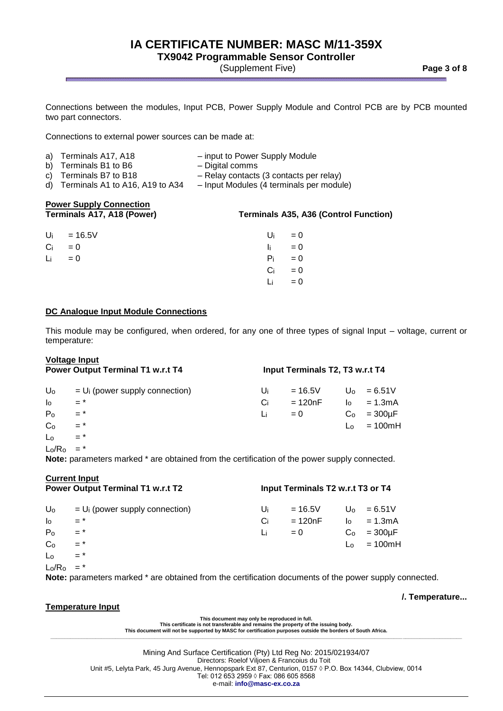# **TX9042 Programmable Sensor Controller**

(Supplement Five) **Page 3 of 8**

Connections between the modules, Input PCB, Power Supply Module and Control PCB are by PCB mounted two part connectors.

Connections to external power sources can be made at:

| a) Terminals A17, A18 | - input to Power Supply Module |
|-----------------------|--------------------------------|
| b) Terminals B1 to B6 | - Digital comms                |

c) Terminals B7 to B18 – Relay contacts (3 contacts per relay)

- d) Terminals A1 to A16, A19 to A34 Input Modules (4 terminals per module)
- -

# **Power Supply Connection**

### **Terminals A17, A18 (Power) Terminals A35, A36 (Control Function)**

| Ui       | $= 16.5V$ | Ui    | $= 0$              |
|----------|-----------|-------|--------------------|
| $Ci = 0$ |           |       | $\mathbf{I}$ i = 0 |
| Li       | $= 0$     | $P_i$ | $= 0$              |
|          |           | Ci l  | $= 0$              |
|          |           | Li    | $= 0$              |

### **DC Analogue Input Module Connections**

This module may be configured, when ordered, for any one of three types of signal Input – voltage, current or temperature:

|                   | <b>Voltage Input</b>                                                                                |    |                                 |                      |               |
|-------------------|-----------------------------------------------------------------------------------------------------|----|---------------------------------|----------------------|---------------|
|                   | <b>Power Output Terminal T1 w.r.t T4</b>                                                            |    | Input Terminals T2, T3 w.r.t T4 |                      |               |
| Uo                | $= Ui$ (power supply connection)                                                                    | Ui | $= 16.5V$                       |                      | $U_0 = 6.51V$ |
| I <sub>o</sub>    | $=$ *                                                                                               | Ci | $=120nF$                        | $\mathsf{I}^{\circ}$ | $= 1.3$ m $A$ |
| P <sub>o</sub>    | $=$ *                                                                                               | Li | $= 0$                           | C <sub>o</sub>       | $=300 \mu F$  |
| C <sub>o</sub>    | $=$ *                                                                                               |    |                                 | L٥                   | $= 100mH$     |
| Lo                | $=$ *                                                                                               |    |                                 |                      |               |
| Lo/R <sub>o</sub> | $=$ *                                                                                               |    |                                 |                      |               |
|                   | <b>Note:</b> parameters marked * are obtained from the certification of the power supply connected. |    |                                 |                      |               |

|                | <b>Current Input</b><br><b>Power Output Terminal T1 w.r.t T2</b> | Input Terminals T2 w.r.t T3 or T4 |           |                |               |  |
|----------------|------------------------------------------------------------------|-----------------------------------|-----------|----------------|---------------|--|
|                |                                                                  |                                   |           |                |               |  |
| Uo             | $= Ui$ (power supply connection)                                 | Ui                                | $= 16.5V$ |                | $U_0 = 6.51V$ |  |
| I <sub>o</sub> | $=$ *                                                            | Ci                                | = 120nF   | $\log$         | $= 1.3mA$     |  |
| P <sub>o</sub> | $=$ *                                                            | Li                                | $= 0$     | Co             | $=300\mu F$   |  |
| C <sub>o</sub> | $=$ *                                                            |                                   |           | L <sub>0</sub> | $= 100mH$     |  |
| $L_0$          | $=$ *                                                            |                                   |           |                |               |  |
| $L_0/R_0$      |                                                                  |                                   |           |                |               |  |

**Note:** parameters marked \* are obtained from the certification documents of the power supply connected.

### **Temperature Input**

**/. Temperature...**

**This document may only be reproduced in full. This certificate is not transferable and remains the property of the issuing body. This document will not be supported by MASC for certification purposes outside the borders of South Africa. \_\_\_\_\_\_\_\_\_\_\_\_\_\_\_\_\_\_\_\_\_\_\_\_\_\_\_\_\_\_\_\_\_\_\_\_\_\_\_\_\_\_\_\_\_\_\_\_\_\_\_\_\_\_\_\_\_\_\_\_\_\_\_\_\_\_\_\_\_\_\_\_\_\_\_\_\_\_\_\_\_\_\_\_\_\_\_\_\_\_\_\_\_\_\_\_\_\_\_\_\_\_\_\_\_\_\_\_\_\_\_\_\_\_\_\_\_\_\_\_\_\_\_\_\_\_\_\_\_\_\_\_\_\_\_\_\_\_\_\_\_\_\_\_\_\_**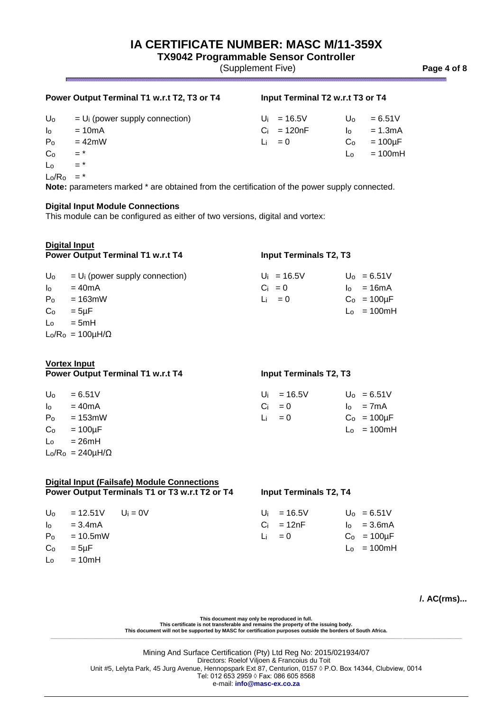**TX9042 Programmable Sensor Controller**

(Supplement Five) **Page 4 of 8**

### **Power Output Terminal T1 w.r.t T2, T3 or T4 Input Terminal T2 w.r.t T3 or T4**

| Uo             | $=$ U <sub>i</sub> (power supply connection) | $U_i = 16.5V$     | Uo             | $= 6.51V$        |
|----------------|----------------------------------------------|-------------------|----------------|------------------|
| $\log$         | $=10mA$                                      | $Ci = 120nF$      | $\overline{a}$ | $= 1.3$ m $A$    |
| P <sub>o</sub> | $=42$ mW                                     | $\mathsf{Li} = 0$ |                | $Co = 100 \mu F$ |
| C <sub>o</sub> | $=$ <sup>*</sup>                             |                   |                | $L_0 = 100mH$    |
| Lo             | $=$ $*$                                      |                   |                |                  |

 $Lo/R<sub>o</sub>$  = \*

**Note:** parameters marked \* are obtained from the certification of the power supply connected.

#### **Digital Input Module Connections**

This module can be configured as either of two versions, digital and vortex:

| Digital Input<br><b>Power Output Terminal T1 w.r.t T4</b> |                                  | <b>Input Terminals T2, T3</b> |  |                  |  |
|-----------------------------------------------------------|----------------------------------|-------------------------------|--|------------------|--|
| Uo                                                        | $= Ui$ (power supply connection) | $U_i = 16.5V$                 |  | $U_0 = 6.51V$    |  |
| $\mathsf{I}_\mathsf{O}$                                   | $=40mA$                          | $Ci = 0$                      |  | $I_0 = 16mA$     |  |
| P <sub>o</sub>                                            | $= 163$ mW                       | $Li = 0$                      |  | $Co = 100 \mu F$ |  |
| Co                                                        | $= 5 \mu F$                      |                               |  | $L_0 = 100mH$    |  |
| $\mathsf{L}_{\Omega}$                                     | $= 5mH$                          |                               |  |                  |  |
|                                                           | $L_0/R_0 = 100 \mu H/\Omega$     |                               |  |                  |  |

### **Vortex Input**

**Power Output Terminal T1 w.r.t T4 Input Terminals T2, T3** 

| U <sub>0</sub>       | $= 6.51V$                    | $U_i = 16.5V$ | $U_0 = 6.51V$    |
|----------------------|------------------------------|---------------|------------------|
| $\mathsf{I}^{\circ}$ | $=40mA$                      | $Ci = 0$      | $I_0 = 7mA$      |
| P <sub>o</sub>       | = 153mW                      | Li $= 0$      | $Co = 100 \mu F$ |
| Co                   | $=100\mu F$                  |               | $L_0 = 100mH$    |
| Lo                   | = 26mH                       |               |                  |
|                      | $L_0/R_0 = 240 \mu H/\Omega$ |               |                  |

# **Digital Input (Failsafe) Module Connections Power Output Terminals T1 or T3 w.r.t T2 or T4 Input Terminals T2, T4**  $U_0$  = 12.51V  $U_i$  = 0V  $U_i$  = 16.5V  $U_0$  = 6.51V  $I_0$  = 3.4mA C<sub>i</sub> = 12nF  $I_0$  = 3.6mA  $P_0 = 10.5$ mW Li = 0 C<sub>o</sub> = 100µF  $C_0$  = 5µF Lo = 100mH

 $\mathsf{L}_0 = 10 \text{mH}$ 

### **/. AC(rms)...**

**This document may only be reproduced in full.** 

**This certificate is not transferable and remains the property of the issuing body. This document will not be supported by MASC for certification purposes outside the borders of South Africa. \_\_\_\_\_\_\_\_\_\_\_\_\_\_\_\_\_\_\_\_\_\_\_\_\_\_\_\_\_\_\_\_\_\_\_\_\_\_\_\_\_\_\_\_\_\_\_\_\_\_\_\_\_\_\_\_\_\_\_\_\_\_\_\_\_\_\_\_\_\_\_\_\_\_\_\_\_\_\_\_\_\_\_\_\_\_\_\_\_\_\_\_\_\_\_\_\_\_\_\_\_\_\_\_\_\_\_\_\_\_\_\_\_\_\_\_\_\_\_\_\_\_\_\_\_\_\_\_\_\_\_\_\_\_\_\_\_\_\_\_\_\_\_\_\_\_**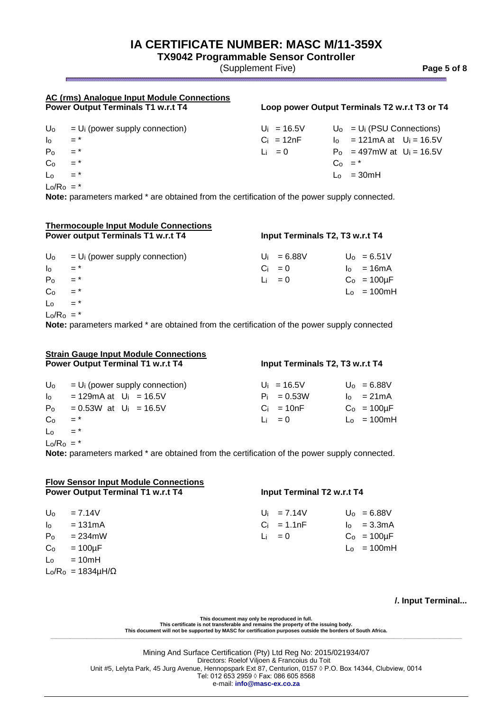**TX9042 Programmable Sensor Controller**

(Supplement Five) **Page 5 of 8**

# **AC (rms) Analogue Input Module Connections**

### **Loop power Output Terminals T2 w.r.t T3 or T4**

|                                                | $U_0 = U_i$ (power supply connection) | $U_i = 16.5V$ | $U_0 = U_i$ (PSU Connections)                  |  |
|------------------------------------------------|---------------------------------------|---------------|------------------------------------------------|--|
| $\begin{bmatrix} 0 & 0 \\ 0 & 0 \end{bmatrix}$ |                                       | $Ci = 12nF$   | $I_0$ = 121 m A at $U_i$ = 16.5V               |  |
| $P_0 = *$                                      |                                       | Li $= 0$      | $P_0 = 497 \text{mW}$ at $U_i = 16.5 \text{V}$ |  |
| $C_0 = *$                                      |                                       |               | $C_0 = *$                                      |  |
| L <sub>o</sub>                                 | $=$ *                                 |               | $\mathsf{L}_{\mathsf{0}} = 30 \text{mH}$       |  |
| $\blacksquare$                                 |                                       |               |                                                |  |

 $Lo/Ro =$ 

**Note:** parameters marked \* are obtained from the certification of the power supply connected.

| <b>Thermocouple Input Module Connections</b><br><b>Power output Terminals T1 w.r.t T4</b> |                                  | Input Terminals T2, T3 w.r.t T4 |               |  |                  |
|-------------------------------------------------------------------------------------------|----------------------------------|---------------------------------|---------------|--|------------------|
| Uo                                                                                        | $= Ui$ (power supply connection) |                                 | $U_i = 6.88V$ |  | $U_0 = 6.51V$    |
| $\mathsf{I}_{\mathsf{O}}$                                                                 | $=$ *                            |                                 | $Ci = 0$      |  | $I_0 = 16mA$     |
| P <sub>o</sub>                                                                            | $=$ *                            |                                 | $Li = 0$      |  | $Co = 100 \mu F$ |
| Co                                                                                        | $=$ *                            |                                 |               |  | $L_0 = 100mH$    |
| $\mathsf{L}_{\mathsf{O}}$                                                                 | $=$ *                            |                                 |               |  |                  |
| $Lo/Ro = *$                                                                               |                                  |                                 |               |  |                  |

**Note:** parameters marked \* are obtained from the certification of the power supply connected

| <b>Strain Gauge Input Module Connections</b><br><b>Power Output Terminal T1 w.r.t T4</b> |                                                                                                     | Input Terminals T2, T3 w.r.t T4 |                       |  |  |
|------------------------------------------------------------------------------------------|-----------------------------------------------------------------------------------------------------|---------------------------------|-----------------------|--|--|
| $U_{\rm o}$                                                                              | $=$ U <sub>i</sub> (power supply connection)                                                        | $U_i = 16.5V$                   | $U_0 = 6.88V$         |  |  |
| $I_0$                                                                                    | = 129 mA at $U_i$ = 16.5 V                                                                          | $P_i = 0.53W$                   | $I_0 = 21 \text{ mA}$ |  |  |
| P <sub>o</sub>                                                                           | $= 0.53W$ at $U_i = 16.5V$                                                                          | $Ci = 10nF$                     | $C_0 = 100 \mu F$     |  |  |
| Co                                                                                       | $=$ *                                                                                               | $\mathsf{L}$ = 0                | $L_0 = 100mH$         |  |  |
| $\mathsf{L}_{\mathsf{O}}$                                                                | $=$ *                                                                                               |                                 |                       |  |  |
| $L_0/R_0 = *$                                                                            | <b>Note:</b> parameters marked * are obtained from the certification of the power supply connected. |                                 |                       |  |  |

| <b>Flow Sensor Input Module Connections</b><br><b>Power Output Terminal T1 w.r.t T4</b> |                                | Input Terminal T2 w.r.t T4 |                               |  |                                |
|-----------------------------------------------------------------------------------------|--------------------------------|----------------------------|-------------------------------|--|--------------------------------|
| U <sub>0</sub><br>I <sub>o</sub>                                                        | $= 7.14V$<br>$= 131 \text{mA}$ |                            | $U_i = 7.14V$<br>$Ci = 1.1nF$ |  | $U_0 = 6.88V$<br>$I_0 = 3.3mA$ |
| P <sub>o</sub>                                                                          | $= 234$ mW                     |                            | Li $= 0$                      |  | $Co = 100 \mu F$               |
| Co<br>Lo                                                                                | $=100 \mu F$<br>$= 10mH$       |                            |                               |  | $L_0 = 100mH$                  |
|                                                                                         | $L_0/R_0 = 1834 \mu H/\Omega$  |                            |                               |  |                                |

**/. Input Terminal...**

This document may only be reproduced in full.<br>This certificate is not transferable and remains the property of the issuing body.<br>This document will not be supported by MASC for certification purposes outside the borders of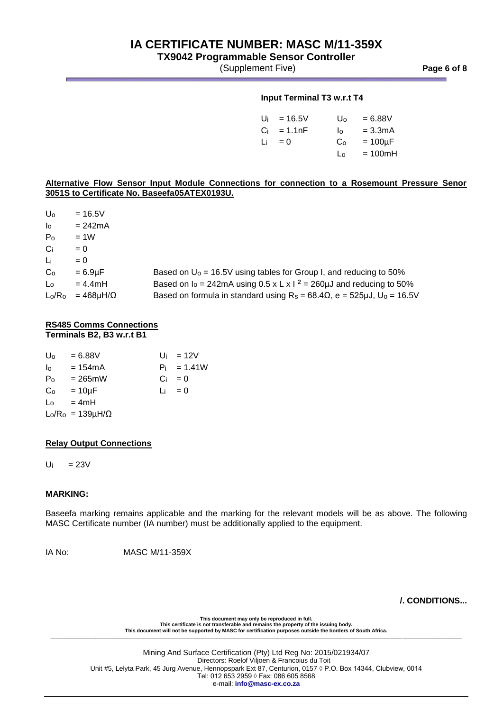# **TX9042 Programmable Sensor Controller**

(Supplement Five) **Page 6 of 8**

### **Input Terminal T3 w.r.t T4**

| Ui | $= 16.5V$ | U٥ | $= 6.88V$     |
|----|-----------|----|---------------|
| Ci | $= 1.1nF$ | I٥ | $= 3.3mA$     |
| Li | $= 0$     | Co | $= 100 \mu F$ |
|    |           | L٥ | $= 100mH$     |

### **Alternative Flow Sensor Input Module Connections for connection to a Rosemount Pressure Senor 3051S to Certificate No. Baseefa05ATEX0193U.**

 $U_0$  = 16.5V  $I_0$  = 242mA  $P_0 = 1W$  $Ci = 0$  $Li = 0$ 

| Li  | $= 0$                        |                                                                                           |
|-----|------------------------------|-------------------------------------------------------------------------------------------|
| Co  | $= 6.9$ uF                   | Based on $U_0$ = 16.5V using tables for Group I, and reducing to 50%                      |
| Lo. | $= 4.4$ mH                   | Based on $I_0 = 242 \text{mA}$ using 0.5 x L x l $^2 = 260 \mu J$ and reducing to 50%     |
|     | $L_0/R_0 = 468 \mu H/\Omega$ | Based on formula in standard using $R_s = 68.4\Omega$ , e = 525µJ, U <sub>0</sub> = 16.5V |

### **RS485 Comms Connections Terminals B2, B3 w.r.t B1**

| U <sub>o</sub>        | $= 6.88V$                      |  | $U_i = 12V$   |
|-----------------------|--------------------------------|--|---------------|
| $\mathsf{I}_{\Omega}$ | = 154mA                        |  | $P_i = 1.41W$ |
| P <sub>o</sub>        | $= 265$ mW                     |  | $Ci = 0$      |
| Co                    | = 10µF                         |  | $Li = 0$      |
|                       | $\mathsf{L}_0 = 4\mathsf{m}$ H |  |               |
|                       | $L_0/R_0 = 139 \mu H/\Omega$   |  |               |

### **Relay Output Connections**

 $U_i$  = 23V

### **MARKING:**

Baseefa marking remains applicable and the marking for the relevant models will be as above. The following MASC Certificate number (IA number) must be additionally applied to the equipment.

IA No: MASC M/11-359X

**/. CONDITIONS...**

**This document may only be reproduced in full. This certificate is not transferable and remains the property of the issuing body. This document will not be supported by MASC for certification purposes outside the borders of South Africa. \_\_\_\_\_\_\_\_\_\_\_\_\_\_\_\_\_\_\_\_\_\_\_\_\_\_\_\_\_\_\_\_\_\_\_\_\_\_\_\_\_\_\_\_\_\_\_\_\_\_\_\_\_\_\_\_\_\_\_\_\_\_\_\_\_\_\_\_\_\_\_\_\_\_\_\_\_\_\_\_\_\_\_\_\_\_\_\_\_\_\_\_\_\_\_\_\_\_\_\_\_\_\_\_\_\_\_\_\_\_\_\_\_\_\_\_\_\_\_\_\_\_\_\_\_\_\_\_\_\_\_\_\_\_\_\_\_\_\_\_\_\_\_\_\_\_**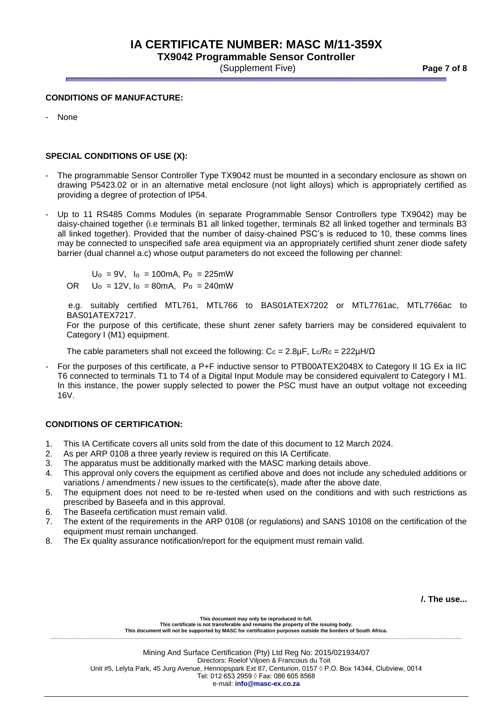**TX9042 Programmable Sensor Controller** (Supplement Five) **Page 7 of 8**

### **CONDITIONS OF MANUFACTURE:**

- None

### **SPECIAL CONDITIONS OF USE (X):**

- The programmable Sensor Controller Type TX9042 must be mounted in a secondary enclosure as shown on drawing P5423.02 or in an alternative metal enclosure (not light alloys) which is appropriately certified as providing a degree of protection of IP54.
- Up to 11 RS485 Comms Modules (in separate Programmable Sensor Controllers type TX9042) may be daisy-chained together (i.e terminals B1 all linked together, terminals B2 all linked together and terminals B3 all linked together). Provided that the number of daisy-chained PSC's is reduced to 10, these comms lines may be connected to unspecified safe area equipment via an appropriately certified shunt zener diode safety barrier (dual channel a.c) whose output parameters do not exceed the following per channel:

 $U_0 = 9V$ ,  $I_0 = 100$ mA,  $P_0 = 225$ mW

OR  $U_0 = 12V$ ,  $I_0 = 80$ mA,  $P_0 = 240$ mW

e.g. suitably certified MTL761, MTL766 to BAS01ATEX7202 or MTL7761ac, MTL7766ac to BAS01ATEX7217.

For the purpose of this certificate, these shunt zener safety barriers may be considered equivalent to Category I (M1) equipment.

The cable parameters shall not exceed the following:  $C_c = 2.8 \mu F$ , Lc/Rc = 222 $\mu$ H/ $\Omega$ 

- For the purposes of this certificate, a P+F inductive sensor to PTB00ATEX2048X to Category II 1G Ex ia IIC T6 connected to terminals T1 to T4 of a Digital Input Module may be considered equivalent to Category I M1. In this instance, the power supply selected to power the PSC must have an output voltage not exceeding 16V.

### **CONDITIONS OF CERTIFICATION:**

- 1. This IA Certificate covers all units sold from the date of this document to 12 March 2024.
- 2. As per ARP 0108 a three yearly review is required on this IA Certificate.
- 3. The apparatus must be additionally marked with the MASC marking details above.
- 4. This approval only covers the equipment as certified above and does not include any scheduled additions or variations / amendments / new issues to the certificate(s), made after the above date.
- 5. The equipment does not need to be re-tested when used on the conditions and with such restrictions as prescribed by Baseefa and in this approval.
- 6. The Baseefa certification must remain valid.
- 7. The extent of the requirements in the ARP 0108 (or regulations) and SANS 10108 on the certification of the equipment must remain unchanged.
- 8. The Ex quality assurance notification/report for the equipment must remain valid.

**/. The use...**

**This document may only be reproduced in full. This certificate is not transferable and remains the property of the issuing body. This document will not be supported by MASC for certification purposes outside the borders of South Africa. \_\_\_\_\_\_\_\_\_\_\_\_\_\_\_\_\_\_\_\_\_\_\_\_\_\_\_\_\_\_\_\_\_\_\_\_\_\_\_\_\_\_\_\_\_\_\_\_\_\_\_\_\_\_\_\_\_\_\_\_\_\_\_\_\_\_\_\_\_\_\_\_\_\_\_\_\_\_\_\_\_\_\_\_\_\_\_\_\_\_\_\_\_\_\_\_\_\_\_\_\_\_\_\_\_\_\_\_\_\_\_\_\_\_\_\_\_\_\_\_\_\_\_\_\_\_\_\_\_\_\_\_\_\_\_\_\_\_\_\_\_\_\_\_\_\_**